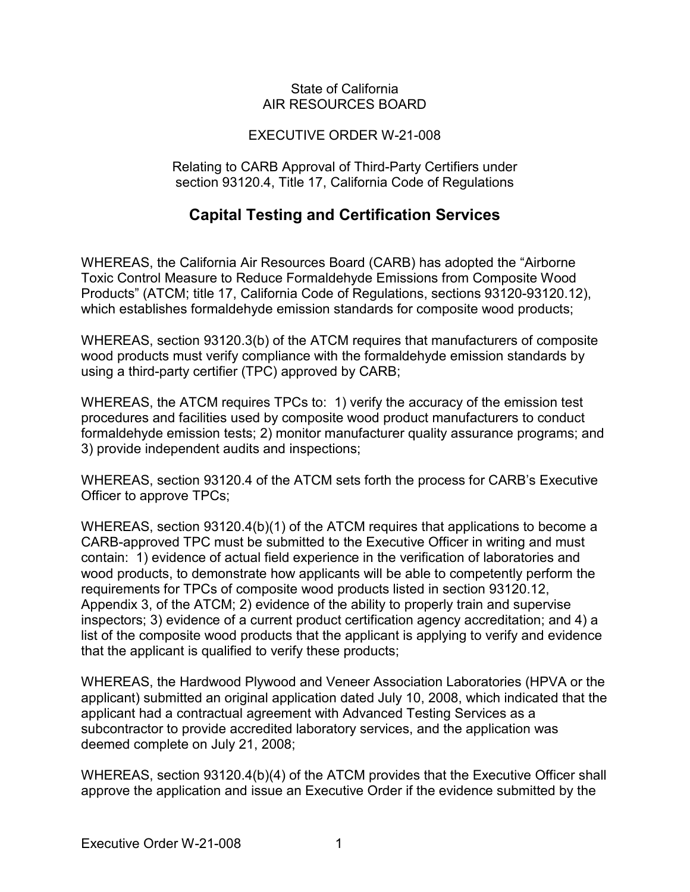#### State of California AIR RESOURCES BOARD

### EXECUTIVE ORDER W-21-008

Relating to CARB Approval of Third-Party Certifiers under section 93120.4, Title 17, California Code of Regulations

## **Capital Testing and Certification Services**

 which establishes formaldehyde emission standards for composite wood products; WHEREAS, the California Air Resources Board (CARB) has adopted the "Airborne Toxic Control Measure to Reduce Formaldehyde Emissions from Composite Wood Products" (ATCM; title 17, California Code of Regulations, sections 93120-93120.12),

 using a third-party certifier (TPC) approved by CARB; WHEREAS, section 93120.3(b) of the ATCM requires that manufacturers of composite wood products must verify compliance with the formaldehyde emission standards by

 WHEREAS, the ATCM requires TPCs to: 1) verify the accuracy of the emission test formaldehyde emission tests; 2) monitor manufacturer quality assurance programs; and procedures and facilities used by composite wood product manufacturers to conduct 3) provide independent audits and inspections;

 WHEREAS, section 93120.4 of the ATCM sets forth the process for CARB's Executive Officer to approve TPCs;

 contain: 1) evidence of actual field experience in the verification of laboratories and requirements for TPCs of composite wood products listed in section 93120.12, that the applicant is qualified to verify these products; WHEREAS, section 93120.4(b)(1) of the ATCM requires that applications to become a CARB-approved TPC must be submitted to the Executive Officer in writing and must wood products, to demonstrate how applicants will be able to competently perform the Appendix 3, of the ATCM; 2) evidence of the ability to properly train and supervise inspectors; 3) evidence of a current product certification agency accreditation; and 4) a list of the composite wood products that the applicant is applying to verify and evidence

 applicant) submitted an original application dated July 10, 2008, which indicated that the WHEREAS, the Hardwood Plywood and Veneer Association Laboratories (HPVA or the applicant had a contractual agreement with Advanced Testing Services as a subcontractor to provide accredited laboratory services, and the application was deemed complete on July 21, 2008;

WHEREAS, section 93120.4(b)(4) of the ATCM provides that the Executive Officer shall approve the application and issue an Executive Order if the evidence submitted by the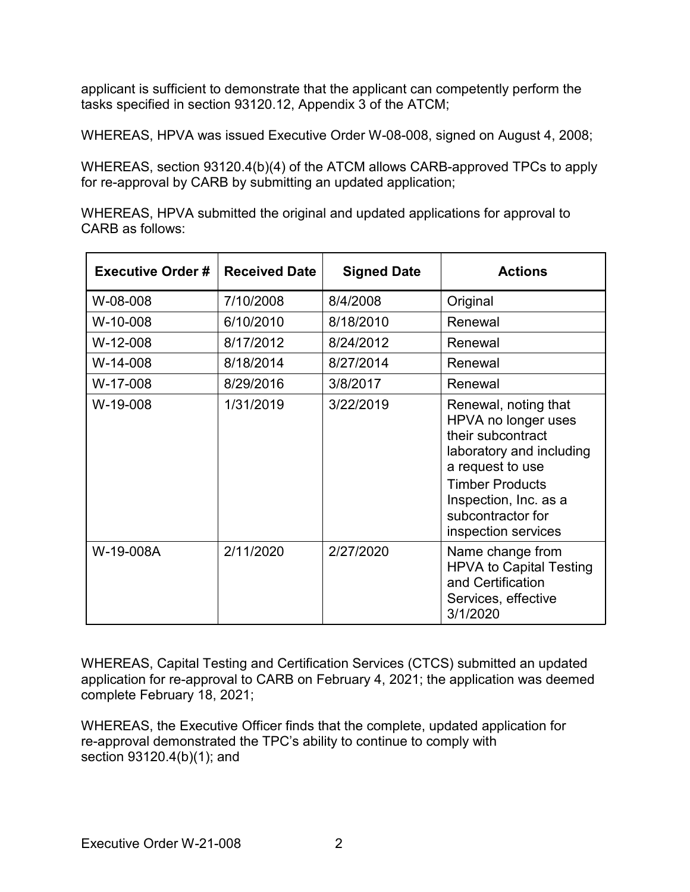applicant is sufficient to demonstrate that the applicant can competently perform the tasks specified in section 93120.12, Appendix 3 of the ATCM;

WHEREAS, HPVA was issued Executive Order W-08-008, signed on August 4, 2008;

WHEREAS, section 93120.4(b)(4) of the ATCM allows CARB-approved TPCs to apply for re-approval by CARB by submitting an updated application;

WHEREAS, HPVA submitted the original and updated applications for approval to CARB as follows:

| <b>Executive Order #</b> | <b>Received Date</b> | <b>Signed Date</b> | <b>Actions</b>                                                                                                                                                                                                  |
|--------------------------|----------------------|--------------------|-----------------------------------------------------------------------------------------------------------------------------------------------------------------------------------------------------------------|
| W-08-008                 | 7/10/2008            | 8/4/2008           | Original                                                                                                                                                                                                        |
| W-10-008                 | 6/10/2010            | 8/18/2010          | Renewal                                                                                                                                                                                                         |
| $W-12-008$               | 8/17/2012            | 8/24/2012          | Renewal                                                                                                                                                                                                         |
| W-14-008                 | 8/18/2014            | 8/27/2014          | Renewal                                                                                                                                                                                                         |
| W-17-008                 | 8/29/2016            | 3/8/2017           | Renewal                                                                                                                                                                                                         |
| W-19-008                 | 1/31/2019            | 3/22/2019          | Renewal, noting that<br>HPVA no longer uses<br>their subcontract<br>laboratory and including<br>a request to use<br><b>Timber Products</b><br>Inspection, Inc. as a<br>subcontractor for<br>inspection services |
| W-19-008A                | 2/11/2020            | 2/27/2020          | Name change from<br><b>HPVA to Capital Testing</b><br>and Certification<br>Services, effective<br>3/1/2020                                                                                                      |

WHEREAS, Capital Testing and Certification Services (CTCS) submitted an updated application for re-approval to CARB on February 4, 2021; the application was deemed complete February 18, 2021;

 WHEREAS, the Executive Officer finds that the complete, updated application for section 93120.4(b)(1); and re-approval demonstrated the TPC's ability to continue to comply with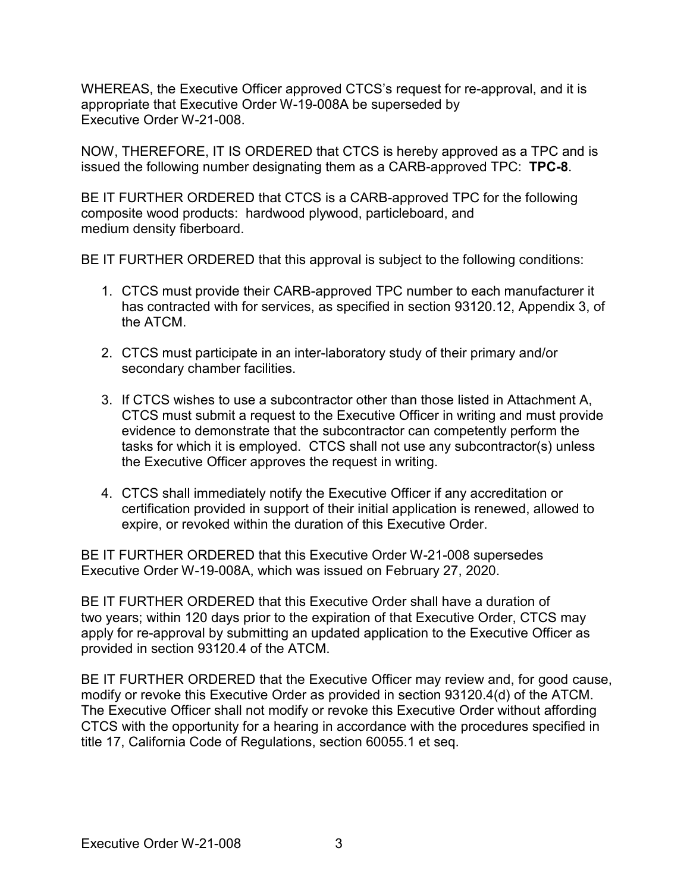appropriate that Executive Order W-19-008A be superseded by Executive Order W-21-008. WHEREAS, the Executive Officer approved CTCS's request for re-approval, and it is

 NOW, THEREFORE, IT IS ORDERED that CTCS is hereby approved as a TPC and is issued the following number designating them as a CARB-approved TPC: **TPC-8**.

 BE IT FURTHER ORDERED that CTCS is a CARB-approved TPC for the following composite wood products: hardwood plywood, particleboard, and medium density fiberboard.

BE IT FURTHER ORDERED that this approval is subject to the following conditions:

- 1. CTCS must provide their CARB-approved TPC number to each manufacturer it has contracted with for services, as specified in section 93120.12, Appendix 3, of the ATCM.
- 2. CTCS must participate in an inter-laboratory study of their primary and/or secondary chamber facilities.
- 3. If CTCS wishes to use a subcontractor other than those listed in Attachment A, tasks for which it is employed. CTCS shall not use any subcontractor(s) unless the Executive Officer approves the request in writing. CTCS must submit a request to the Executive Officer in writing and must provide evidence to demonstrate that the subcontractor can competently perform the
- 4. CTCS shall immediately notify the Executive Officer if any accreditation or certification provided in support of their initial application is renewed, allowed to expire, or revoked within the duration of this Executive Order.

BE IT FURTHER ORDERED that this Executive Order W-21-008 supersedes Executive Order W-19-008A, which was issued on February 27, 2020.

 provided in section 93120.4 of the ATCM. BE IT FURTHER ORDERED that this Executive Order shall have a duration of two years; within 120 days prior to the expiration of that Executive Order, CTCS may apply for re-approval by submitting an updated application to the Executive Officer as

modify or revoke this Executive Order as provided in section 93120.4(d) of the ATCM. title 17, California Code of Regulations, section 60055.1 et seq. BE IT FURTHER ORDERED that the Executive Officer may review and, for good cause, The Executive Officer shall not modify or revoke this Executive Order without affording CTCS with the opportunity for a hearing in accordance with the procedures specified in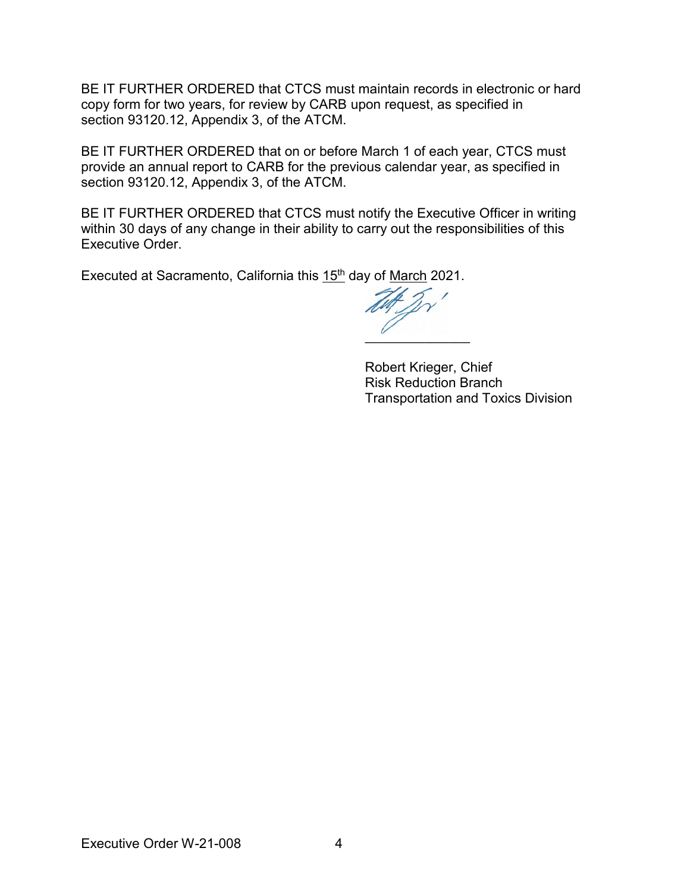BE IT FURTHER ORDERED that CTCS must maintain records in electronic or hard copy form for two years, for review by CARB upon request, as specified in section 93120.12, Appendix 3, of the ATCM.

 BE IT FURTHER ORDERED that on or before March 1 of each year, CTCS must provide an annual report to CARB for the previous calendar year, as specified in section 93120.12, Appendix 3, of the ATCM.

BE IT FURTHER ORDERED that CTCS must notify the Executive Officer in writing within 30 days of any change in their ability to carry out the responsibilities of this Executive Order.

Executed at Sacramento, California this 15<sup>th</sup> day of <u>March</u> 2021.

**\_\_\_\_\_\_\_\_\_\_\_\_\_\_\_\_\_\_\_\_\_** 

Robert Krieger, Chief Risk Reduction Branch Transportation and Toxics Division